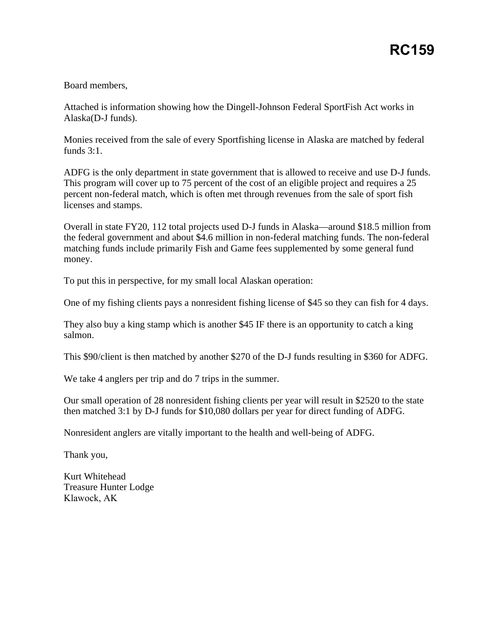## Board members,

Attached is information showing how the Dingell-Johnson Federal SportFish Act works in Alaska(D-J funds).

Monies received from the sale of every Sportfishing license in Alaska are matched by federal funds 3:1.

ADFG is the only department in state government that is allowed to receive and use D-J funds. This program will cover up to 75 percent of the cost of an eligible project and requires a 25 percent non-federal match, which is often met through revenues from the sale of sport fish licenses and stamps.

Overall in state FY20, 112 total projects used D-J funds in Alaska—around \$18.5 million from the federal government and about \$4.6 million in non-federal matching funds. The non-federal matching funds include primarily Fish and Game fees supplemented by some general fund money.

To put this in perspective, for my small local Alaskan operation:

One of my fishing clients pays a nonresident fishing license of \$45 so they can fish for 4 days.

They also buy a king stamp which is another \$45 IF there is an opportunity to catch a king salmon.

This \$90/client is then matched by another \$270 of the D-J funds resulting in \$360 for ADFG.

We take 4 anglers per trip and do 7 trips in the summer.

Our small operation of 28 nonresident fishing clients per year will result in \$2520 to the state then matched 3:1 by D-J funds for \$10,080 dollars per year for direct funding of ADFG.

Nonresident anglers are vitally important to the health and well-being of ADFG.

Thank you,

Kurt Whitehead Treasure Hunter Lodge Klawock, AK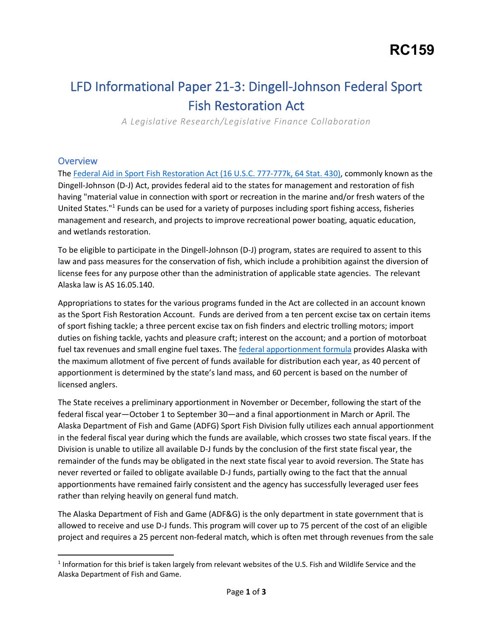## LFD Informational Paper 21-3: Dingell-Johnson Federal Sport Fish Restoration Act

 *A Legislative Research/Legislative Finance Collaboration* 

## **Overview**

The Federal Aid in Sport Fish Restoration Act (16 U.S.C. 777-777k, 64 Stat. 430), commonly known as the Dingell-Johnson (D-J) Act, provides federal aid to the states for management and restoration of fish having "material value in connection with sport or recreation in the marine and/or fresh waters of the United States."<sup>1</sup> Funds can be used for a variety of purposes including sport fishing access, fisheries management and research, and projects to improve recreational power boating, aquatic education, and wetlands restoration.

and wetlands restoration.<br>To be eligible to participate in the Dingell-Johnson (D-J) program, states are required to assent to this law and pass measures for the conservation of fish, which include a prohibition against the diversion of license fees for any purpose other than the administration of applicable state agencies. The relevant Alaska law is AS 16.05.140.

 Appropriations to states for the various programs funded in the Act are collected in an account known as the Sport Fish Restoration Account. Funds are derived from a ten percent excise tax on certain items the maximum allotment of five percent of funds available for distribution each year, as 40 percent of apportionment is determined by the state's land mass, and 60 percent is based on the number of of sport fishing tackle; a three percent excise tax on fish finders and electric trolling motors; import duties on fishing tackle, yachts and pleasure craft; interest on the account; and a portion of motorboat fuel tax revenues and small engine fuel taxes. The federal apportionment formula provides Alaska with licensed anglers.

 The State receives a preliminary apportionment in November or December, following the start of the federal fiscal year—October 1 to September 30—and a final apportionment in March or April. The Alaska Department of Fish and Game (ADFG) Sport Fish Division fully utilizes each annual apportionment Division is unable to utilize all available D-J funds by the conclusion of the first state fiscal year, the remainder of the funds may be obligated in the next state fiscal year to avoid reversion. The State has never reverted or failed to obligate available D-J funds, partially owing to the fact that the annual rather than relying heavily on general fund match. in the federal fiscal year during which the funds are available, which crosses two state fiscal years. If the apportionments have remained fairly consistent and the agency has successfully leveraged user fees

 The Alaska Department of Fish and Game (ADF&G) is the only department in state government that is allowed to receive and use D-J funds. This program will cover up to 75 percent of the cost of an eligible project and requires a 25 percent non-federal match, which is often met through revenues from the sale

 Alaska Department of Fish and Game.  $1$  Information for this brief is taken largely from relevant websites of the U.S. Fish and Wildlife Service and the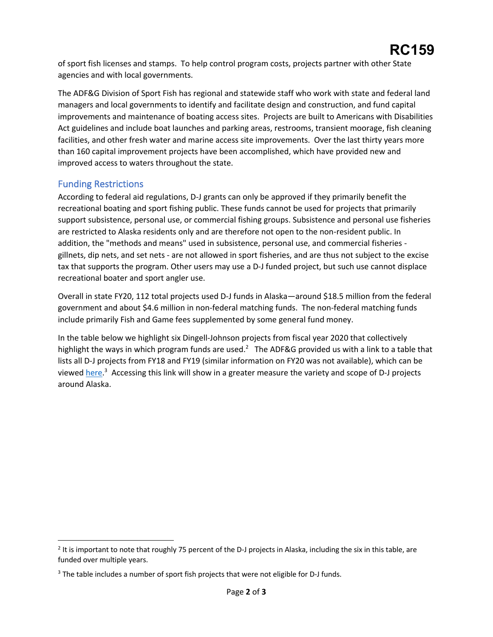of sport fish licenses and stamps. To help control program costs, projects partner with other State agencies and with local governments.

 The ADF&G Division of Sport Fish has regional and statewide staff who work with state and federal land managers and local governments to identify and facilitate design and construction, and fund capital Act guidelines and include boat launches and parking areas, restrooms, transient moorage, fish cleaning facilities, and other fresh water and marine access site improvements. Over the last thirty years more than 160 capital improvement projects have been accomplished, which have provided new and improvements and maintenance of boating access sites. Projects are built to Americans with Disabilities improved access to waters throughout the state.

## Funding Restrictions

 According to federal aid regulations, D-J grants can only be approved if they primarily benefit the recreational boating and sport fishing public. These funds cannot be used for projects that primarily support subsistence, personal use, or commercial fishing groups. Subsistence and personal use fisheries are restricted to Alaska residents only and are therefore not open to the non-resident public. In gillnets, dip nets, and set nets - are not allowed in sport fisheries, and are thus not subject to the excise tax that supports the program. Other users may use a D-J funded project, but such use cannot displace addition, the "methods and means" used in subsistence, personal use, and commercial fisheries recreational boater and sport angler use.

 Overall in state FY20, 112 total projects used D-J funds in Alaska—around \$18.5 million from the federal government and about \$4.6 million in non-federal matching funds. The non-federal matching funds include primarily Fish and Game fees supplemented by some general fund money.

 In the table below we highlight six Dingell-Johnson projects from fiscal year 2020 that collectively highlight the ways in which program funds are used.<sup>2</sup> The ADF&G provided us with a link to a table that lists all D-J projects from FY18 and FY19 (similar information on FY20 was not available), which can be viewed here.<sup>3</sup> Accessing this link will show in a greater measure the variety and scope of D-J projects around Alaska. around Alaska.<br>2 It is important to note that roughly 75 percent of the D-J projects in Alaska, including the six in this table, are

<sup>&</sup>lt;sup>2</sup> It is important to note that roughly 75 percent of the D-J projects in Alaska, including the six in this table, are funded over multiple years.

 $3$  The table includes a number of sport fish projects that were not eligible for D-J funds.